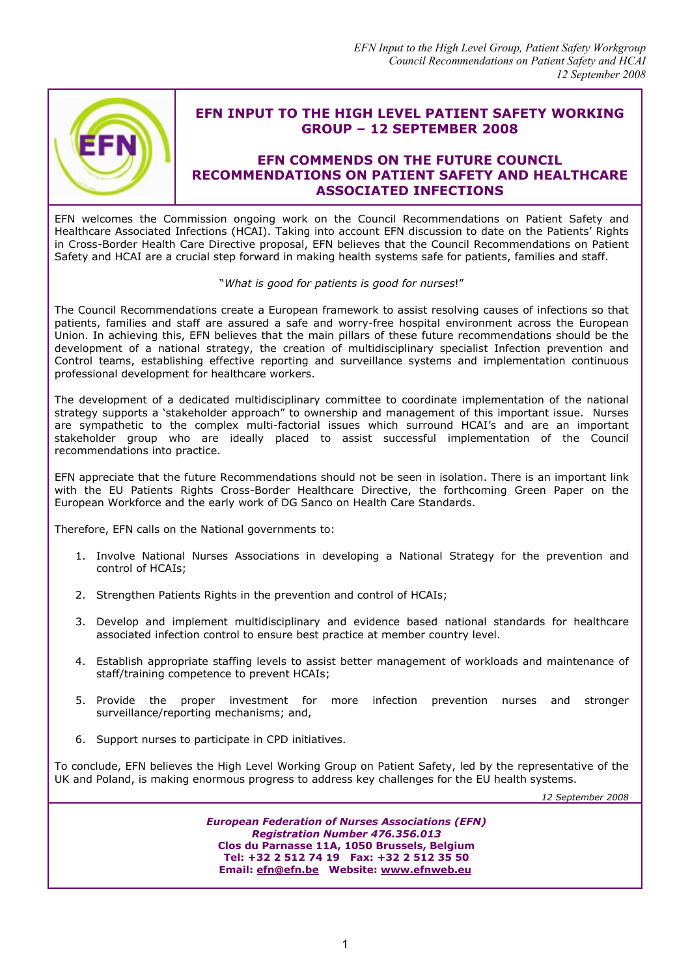

## **EFN INPUT TO THE HIGH LEVEL PATIENT SAFETY WORKING GROUP – 12 SEPTEMBER 2008**

### **EFN COMMENDS ON THE FUTURE COUNCIL RECOMMENDATIONS ON PATIENT SAFETY AND HEALTHCARE ASSOCIATED INFECTIONS**

EFN welcomes the Commission ongoing work on the Council Recommendations on Patient Safety and Healthcare Associated Infections (HCAI). Taking into account EFN discussion to date on the Patients' Rights in Cross-Border Health Care Directive proposal, EFN believes that the Council Recommendations on Patient Safety and HCAI are a crucial step forward in making health systems safe for patients, families and staff.

#### "*What is good for patients is good for nurses*!"

The Council Recommendations create a European framework to assist resolving causes of infections so that patients, families and staff are assured a safe and worry-free hospital environment across the European Union. In achieving this, EFN believes that the main pillars of these future recommendations should be the development of a national strategy, the creation of multidisciplinary specialist Infection prevention and Control teams, establishing effective reporting and surveillance systems and implementation continuous professional development for healthcare workers.

The development of a dedicated multidisciplinary committee to coordinate implementation of the national strategy supports a 'stakeholder approach" to ownership and management of this important issue. Nurses are sympathetic to the complex multi-factorial issues which surround HCAI's and are an important stakeholder group who are ideally placed to assist successful implementation of the Council recommendations into practice.

EFN appreciate that the future Recommendations should not be seen in isolation. There is an important link with the EU Patients Rights Cross-Border Healthcare Directive, the forthcoming Green Paper on the European Workforce and the early work of DG Sanco on Health Care Standards.

Therefore, EFN calls on the National governments to:

- 1. Involve National Nurses Associations in developing a National Strategy for the prevention and control of HCAIs;
- 2. Strengthen Patients Rights in the prevention and control of HCAIs;
- 3. Develop and implement multidisciplinary and evidence based national standards for healthcare associated infection control to ensure best practice at member country level.
- 4. Establish appropriate staffing levels to assist better management of workloads and maintenance of staff/training competence to prevent HCAIs;
- 5. Provide the proper investment for more infection prevention nurses and stronger surveillance/reporting mechanisms; and,
- 6. Support nurses to participate in CPD initiatives.

To conclude, EFN believes the High Level Working Group on Patient Safety, led by the representative of the UK and Poland, is making enormous progress to address key challenges for the EU health systems.

*12 September 2008*

*European Federation of Nurses Associations (EFN) Registration Number 476.356.013*  **Clos du Parnasse 11A, 1050 Brussels, Belgium Tel: +32 2 512 74 19 Fax: +32 2 512 35 50 Email: efn@efn.be Website: www.efnweb.eu**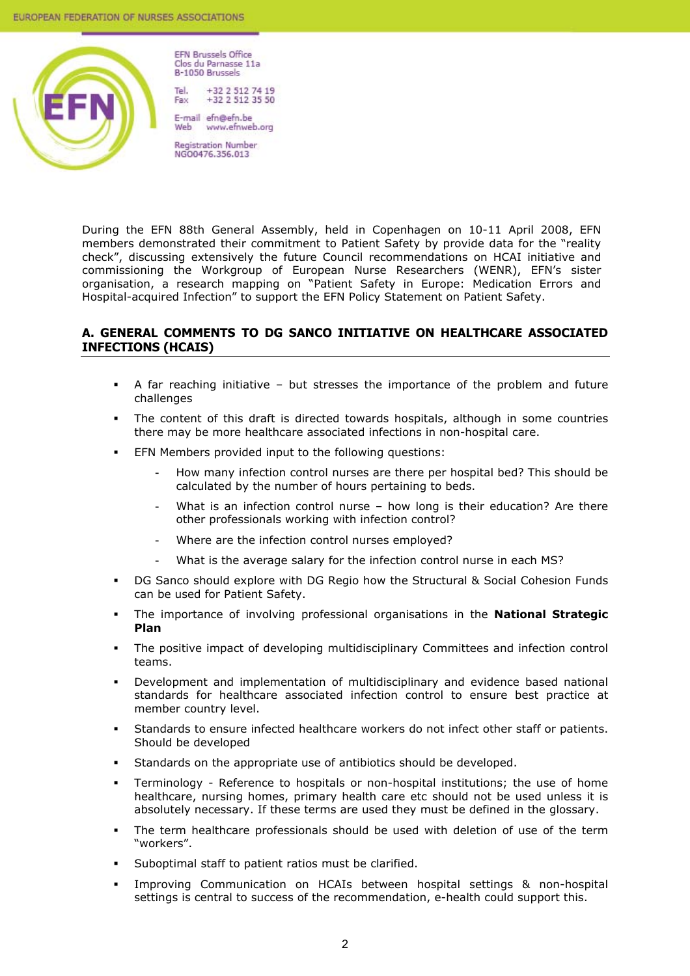

**EFN Brussels Office** Clos du Parnasse 11a **B-1050 Brussels** 

+32 2 512 74 19 +32 2 512 35 50 Fax

E-mail efn@efn.be Web www.efnweb.org

Registration Number<br>NGO0476.356.013

During the EFN 88th General Assembly, held in Copenhagen on 10-11 April 2008, EFN members demonstrated their commitment to Patient Safety by provide data for the "reality check", discussing extensively the future Council recommendations on HCAI initiative and commissioning the Workgroup of European Nurse Researchers (WENR), EFN's sister organisation, a research mapping on "Patient Safety in Europe: Medication Errors and Hospital-acquired Infection" to support the EFN Policy Statement on Patient Safety.

### **A. GENERAL COMMENTS TO DG SANCO INITIATIVE ON HEALTHCARE ASSOCIATED INFECTIONS (HCAIS)**

- A far reaching initiative but stresses the importance of the problem and future challenges
- The content of this draft is directed towards hospitals, although in some countries there may be more healthcare associated infections in non-hospital care.
- EFN Members provided input to the following questions:
	- How many infection control nurses are there per hospital bed? This should be calculated by the number of hours pertaining to beds.
	- What is an infection control nurse  $-$  how long is their education? Are there other professionals working with infection control?
	- Where are the infection control nurses employed?
	- What is the average salary for the infection control nurse in each MS?
- DG Sanco should explore with DG Regio how the Structural & Social Cohesion Funds can be used for Patient Safety.
- The importance of involving professional organisations in the **National Strategic Plan**
- The positive impact of developing multidisciplinary Committees and infection control teams.
- Development and implementation of multidisciplinary and evidence based national standards for healthcare associated infection control to ensure best practice at member country level.
- Standards to ensure infected healthcare workers do not infect other staff or patients. Should be developed
- Standards on the appropriate use of antibiotics should be developed.
- Terminology Reference to hospitals or non-hospital institutions; the use of home healthcare, nursing homes, primary health care etc should not be used unless it is absolutely necessary. If these terms are used they must be defined in the glossary.
- The term healthcare professionals should be used with deletion of use of the term "workers".
- Suboptimal staff to patient ratios must be clarified.
- Improving Communication on HCAIs between hospital settings & non-hospital settings is central to success of the recommendation, e-health could support this.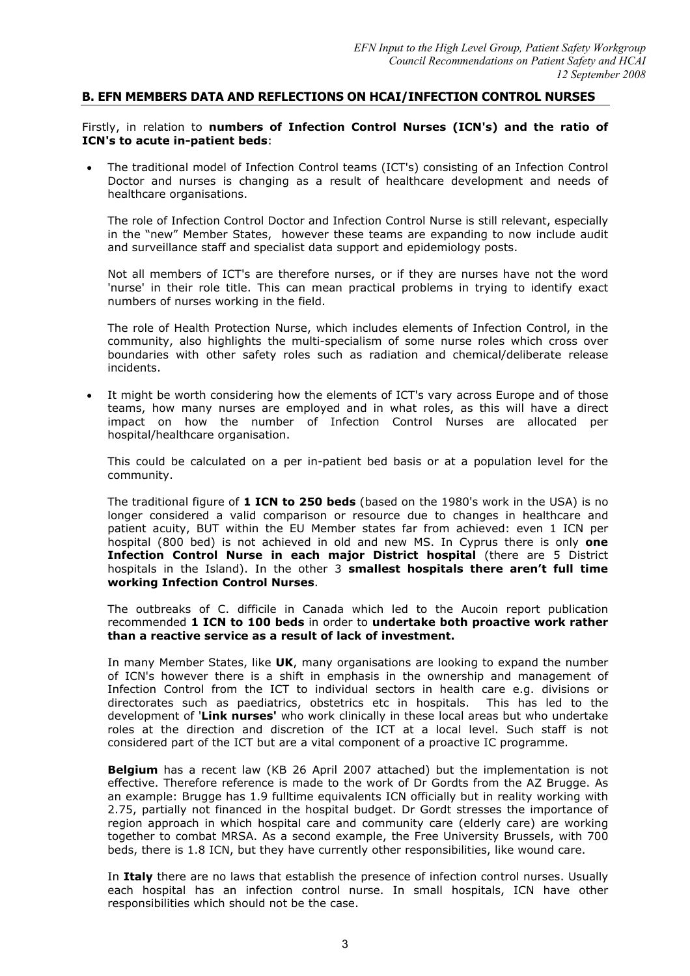#### **B. EFN MEMBERS DATA AND REFLECTIONS ON HCAI/INFECTION CONTROL NURSES**

Firstly, in relation to **numbers of Infection Control Nurses (ICN's) and the ratio of ICN's to acute in-patient beds**:

• The traditional model of Infection Control teams (ICT's) consisting of an Infection Control Doctor and nurses is changing as a result of healthcare development and needs of healthcare organisations.

The role of Infection Control Doctor and Infection Control Nurse is still relevant, especially in the "new" Member States, however these teams are expanding to now include audit and surveillance staff and specialist data support and epidemiology posts.

Not all members of ICT's are therefore nurses, or if they are nurses have not the word 'nurse' in their role title. This can mean practical problems in trying to identify exact numbers of nurses working in the field.

The role of Health Protection Nurse, which includes elements of Infection Control, in the community, also highlights the multi-specialism of some nurse roles which cross over boundaries with other safety roles such as radiation and chemical/deliberate release incidents.

It might be worth considering how the elements of ICT's vary across Europe and of those teams, how many nurses are employed and in what roles, as this will have a direct impact on how the number of Infection Control Nurses are allocated per hospital/healthcare organisation.

This could be calculated on a per in-patient bed basis or at a population level for the community.

The traditional figure of **1 ICN to 250 beds** (based on the 1980's work in the USA) is no longer considered a valid comparison or resource due to changes in healthcare and patient acuity, BUT within the EU Member states far from achieved: even 1 ICN per hospital (800 bed) is not achieved in old and new MS. In Cyprus there is only **one Infection Control Nurse in each major District hospital** (there are 5 District hospitals in the Island). In the other 3 **smallest hospitals there aren't full time working Infection Control Nurses**.

The outbreaks of C. difficile in Canada which led to the Aucoin report publication recommended **1 ICN to 100 beds** in order to **undertake both proactive work rather than a reactive service as a result of lack of investment.** 

In many Member States, like **UK**, many organisations are looking to expand the number of ICN's however there is a shift in emphasis in the ownership and management of Infection Control from the ICT to individual sectors in health care e.g. divisions or directorates such as paediatrics, obstetrics etc in hospitals. This has led to the development of '**Link nurses'** who work clinically in these local areas but who undertake roles at the direction and discretion of the ICT at a local level. Such staff is not considered part of the ICT but are a vital component of a proactive IC programme.

**Belgium** has a recent law (KB 26 April 2007 attached) but the implementation is not effective. Therefore reference is made to the work of Dr Gordts from the AZ Brugge. As an example: Brugge has 1.9 fulltime equivalents ICN officially but in reality working with 2.75, partially not financed in the hospital budget. Dr Gordt stresses the importance of region approach in which hospital care and community care (elderly care) are working together to combat MRSA. As a second example, the Free University Brussels, with 700 beds, there is 1.8 ICN, but they have currently other responsibilities, like wound care.

In **Italy** there are no laws that establish the presence of infection control nurses. Usually each hospital has an infection control nurse. In small hospitals, ICN have other responsibilities which should not be the case.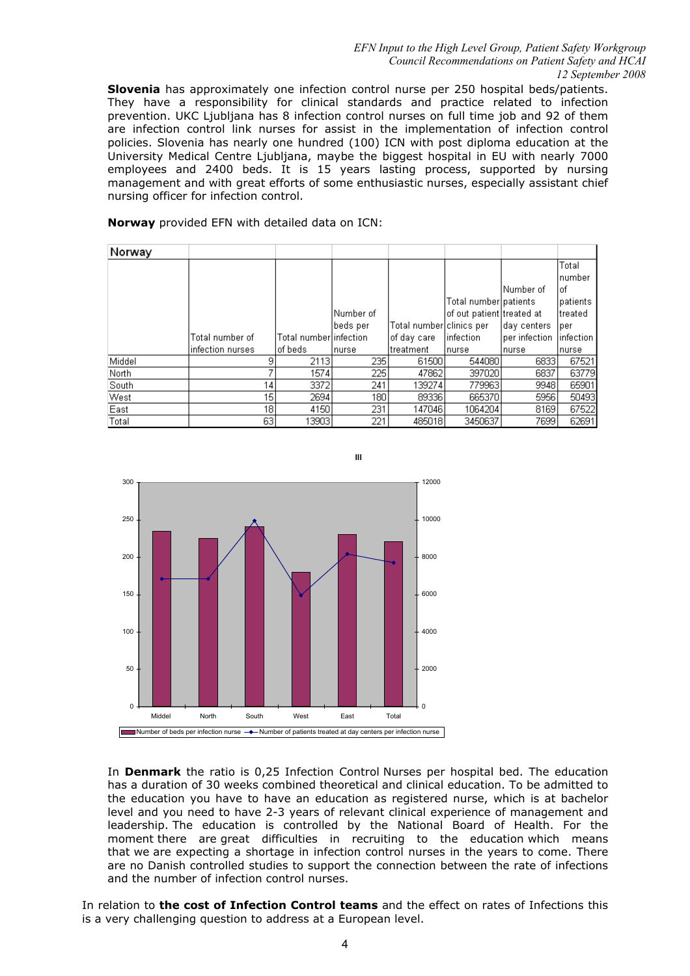#### *EFN Input to the High Level Group, Patient Safety Workgroup Council Recommendations on Patient Safety and HCAI 12 September 2008*

**Slovenia** has approximately one infection control nurse per 250 hospital beds/patients. They have a responsibility for clinical standards and practice related to infection prevention. UKC Ljubljana has 8 infection control nurses on full time job and 92 of them are infection control link nurses for assist in the implementation of infection control policies. Slovenia has nearly one hundred (100) ICN with post diploma education at the University Medical Centre Ljubljana, maybe the biggest hospital in EU with nearly 7000 employees and 2400 beds. It is 15 years lasting process, supported by nursing management and with great efforts of some enthusiastic nurses, especially assistant chief nursing officer for infection control.

**Norway** provided EFN with detailed data on ICN:

| Norway |                  |                        |            |                          |                           |               |                  |
|--------|------------------|------------------------|------------|--------------------------|---------------------------|---------------|------------------|
|        |                  |                        |            |                          |                           |               | Total<br>Inumber |
|        |                  |                        |            |                          |                           | lNumber of    | l of             |
|        |                  |                        |            |                          | Total number patients     |               | Ipatients        |
|        |                  |                        | lNumber of |                          | of out patient treated at |               | ltreated         |
|        |                  |                        | beds per   | Total number clinics per |                           | day centers   | lper.            |
|        | Total number of  | Total numberlinfection |            | of daγ care              | linfection                | per infection | linfection       |
|        | infection nurses | of beds                | nurse      | treatment                | Inurse                    | Inurse        | nurse            |
| Middel | 9                | 2113                   | 2351       | 61500                    | 544080                    | 6833          | 67521            |
| North  |                  | 1574                   | 225        | 47862                    | 397020                    | 6837          | 63779            |
| South  | 14               | 3372                   | 241        | 139274                   | 779963                    | 9948          | 65901            |
| West   | 15               | 2694                   | 180        | 89336                    | 665370                    | 5956          | 50493            |
| East   | 18               | 4150                   | 231        | 147046                   | 1064204                   | 8169          | 67522            |
| Total  | 63               | 13903                  | 221        | 485018                   | 3450637                   | 7699          | 62691            |



In **Denmark** the ratio is 0,25 Infection Control Nurses per hospital bed. The education has a duration of 30 weeks combined theoretical and clinical education. To be admitted to the education you have to have an education as registered nurse, which is at bachelor level and you need to have 2-3 years of relevant clinical experience of management and leadership. The education is controlled by the National Board of Health. For the moment there are great difficulties in recruiting to the education which means that we are expecting a shortage in infection control nurses in the years to come. There are no Danish controlled studies to support the connection between the rate of infections and the number of infection control nurses.

In relation to **the cost of Infection Control teams** and the effect on rates of Infections this is a very challenging question to address at a European level.

**lll**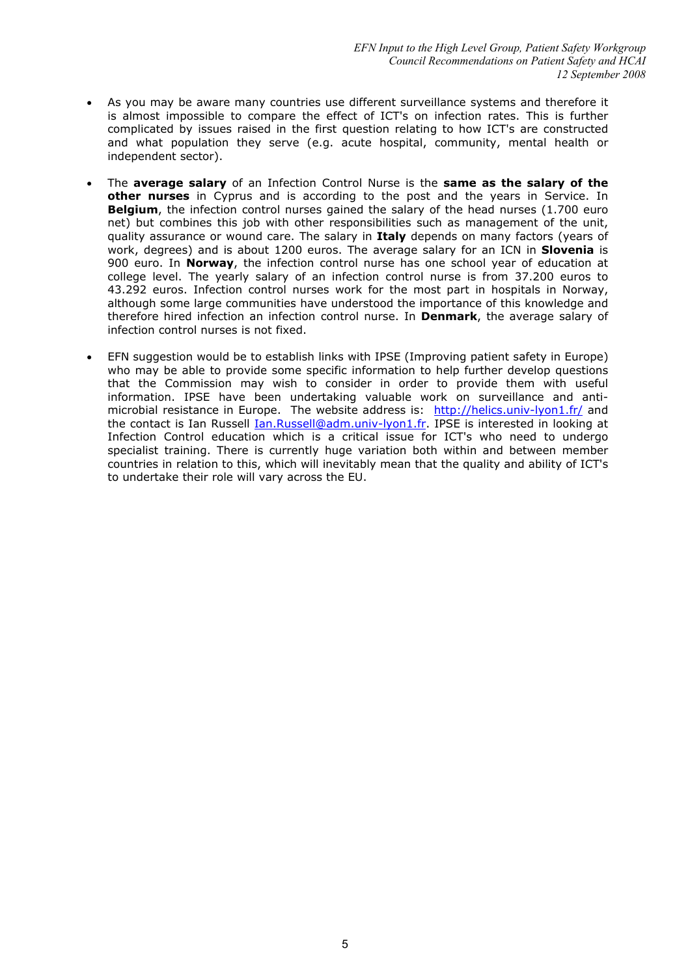- As you may be aware many countries use different surveillance systems and therefore it is almost impossible to compare the effect of ICT's on infection rates. This is further complicated by issues raised in the first question relating to how ICT's are constructed and what population they serve (e.g. acute hospital, community, mental health or independent sector).
- The **average salary** of an Infection Control Nurse is the **same as the salary of the other nurses** in Cyprus and is according to the post and the years in Service. In **Belgium**, the infection control nurses gained the salary of the head nurses (1.700 euro net) but combines this job with other responsibilities such as management of the unit, quality assurance or wound care. The salary in **Italy** depends on many factors (years of work, degrees) and is about 1200 euros. The average salary for an ICN in **Slovenia** is 900 euro. In **Norway**, the infection control nurse has one school year of education at college level. The yearly salary of an infection control nurse is from 37.200 euros to 43.292 euros. Infection control nurses work for the most part in hospitals in Norway, although some large communities have understood the importance of this knowledge and therefore hired infection an infection control nurse. In **Denmark**, the average salary of infection control nurses is not fixed.
- EFN suggestion would be to establish links with IPSE (Improving patient safety in Europe) who may be able to provide some specific information to help further develop questions that the Commission may wish to consider in order to provide them with useful information. IPSE have been undertaking valuable work on surveillance and antimicrobial resistance in Europe. The website address is: http://helics.univ-lyon1.fr/ and the contact is Ian Russell *Ian.Russell@adm.univ-lyon1.fr*. IPSE is interested in looking at Infection Control education which is a critical issue for ICT's who need to undergo specialist training. There is currently huge variation both within and between member countries in relation to this, which will inevitably mean that the quality and ability of ICT's to undertake their role will vary across the EU.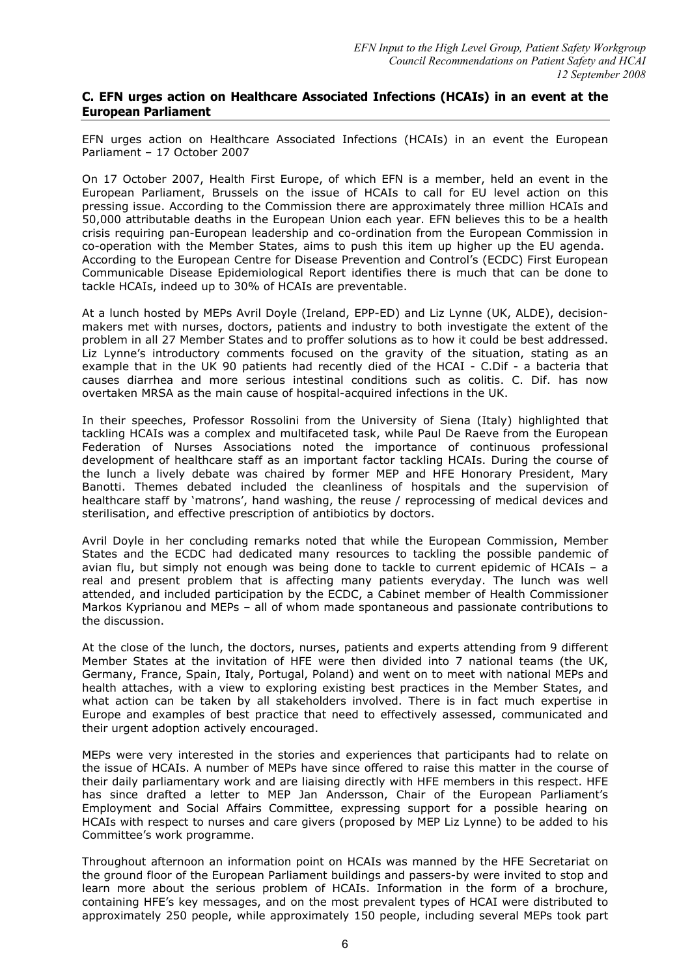#### **C. EFN urges action on Healthcare Associated Infections (HCAIs) in an event at the European Parliament**

EFN urges action on Healthcare Associated Infections (HCAIs) in an event the European Parliament – 17 October 2007

On 17 October 2007, Health First Europe, of which EFN is a member, held an event in the European Parliament, Brussels on the issue of HCAIs to call for EU level action on this pressing issue. According to the Commission there are approximately three million HCAIs and 50,000 attributable deaths in the European Union each year. EFN believes this to be a health crisis requiring pan-European leadership and co-ordination from the European Commission in co-operation with the Member States, aims to push this item up higher up the EU agenda. According to the European Centre for Disease Prevention and Control's (ECDC) First European Communicable Disease Epidemiological Report identifies there is much that can be done to tackle HCAIs, indeed up to 30% of HCAIs are preventable.

At a lunch hosted by MEPs Avril Doyle (Ireland, EPP-ED) and Liz Lynne (UK, ALDE), decisionmakers met with nurses, doctors, patients and industry to both investigate the extent of the problem in all 27 Member States and to proffer solutions as to how it could be best addressed. Liz Lynne's introductory comments focused on the gravity of the situation, stating as an example that in the UK 90 patients had recently died of the HCAI - C.Dif - a bacteria that causes diarrhea and more serious intestinal conditions such as colitis. C. Dif. has now overtaken MRSA as the main cause of hospital-acquired infections in the UK.

In their speeches, Professor Rossolini from the University of Siena (Italy) highlighted that tackling HCAIs was a complex and multifaceted task, while Paul De Raeve from the European Federation of Nurses Associations noted the importance of continuous professional development of healthcare staff as an important factor tackling HCAIs. During the course of the lunch a lively debate was chaired by former MEP and HFE Honorary President, Mary Banotti. Themes debated included the cleanliness of hospitals and the supervision of healthcare staff by 'matrons', hand washing, the reuse / reprocessing of medical devices and sterilisation, and effective prescription of antibiotics by doctors.

Avril Doyle in her concluding remarks noted that while the European Commission, Member States and the ECDC had dedicated many resources to tackling the possible pandemic of avian flu, but simply not enough was being done to tackle to current epidemic of HCAIs – a real and present problem that is affecting many patients everyday. The lunch was well attended, and included participation by the ECDC, a Cabinet member of Health Commissioner Markos Kyprianou and MEPs – all of whom made spontaneous and passionate contributions to the discussion.

At the close of the lunch, the doctors, nurses, patients and experts attending from 9 different Member States at the invitation of HFE were then divided into 7 national teams (the UK, Germany, France, Spain, Italy, Portugal, Poland) and went on to meet with national MEPs and health attaches, with a view to exploring existing best practices in the Member States, and what action can be taken by all stakeholders involved. There is in fact much expertise in Europe and examples of best practice that need to effectively assessed, communicated and their urgent adoption actively encouraged.

MEPs were very interested in the stories and experiences that participants had to relate on the issue of HCAIs. A number of MEPs have since offered to raise this matter in the course of their daily parliamentary work and are liaising directly with HFE members in this respect. HFE has since drafted a letter to MEP Jan Andersson, Chair of the European Parliament's Employment and Social Affairs Committee, expressing support for a possible hearing on HCAIs with respect to nurses and care givers (proposed by MEP Liz Lynne) to be added to his Committee's work programme.

Throughout afternoon an information point on HCAIs was manned by the HFE Secretariat on the ground floor of the European Parliament buildings and passers-by were invited to stop and learn more about the serious problem of HCAIs. Information in the form of a brochure, containing HFE's key messages, and on the most prevalent types of HCAI were distributed to approximately 250 people, while approximately 150 people, including several MEPs took part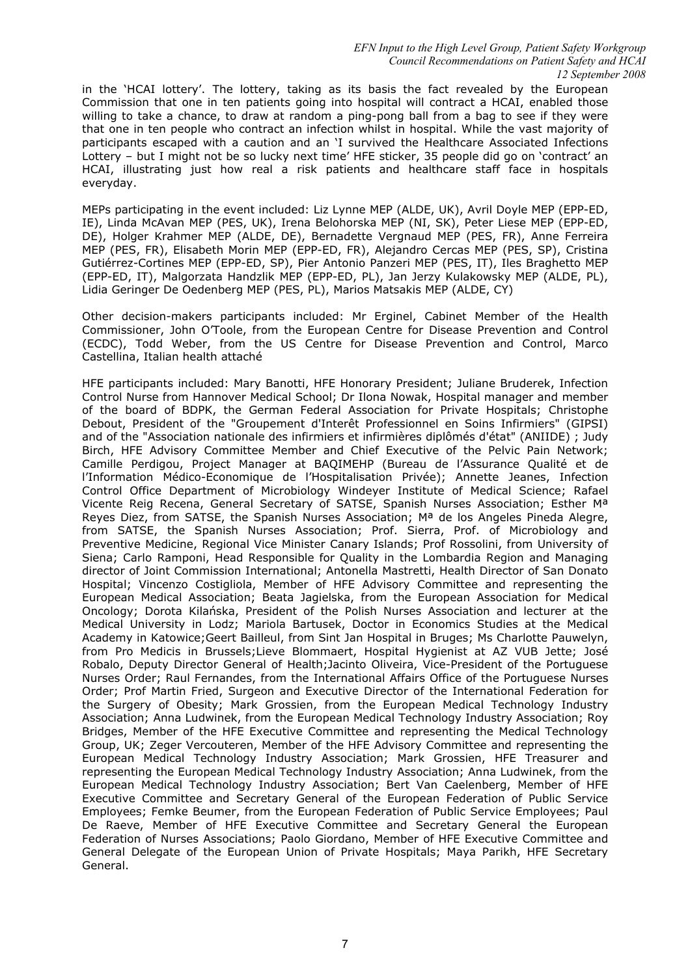*EFN Input to the High Level Group, Patient Safety Workgroup Council Recommendations on Patient Safety and HCAI 12 September 2008*

in the 'HCAI lottery'. The lottery, taking as its basis the fact revealed by the European Commission that one in ten patients going into hospital will contract a HCAI, enabled those willing to take a chance, to draw at random a ping-pong ball from a bag to see if they were that one in ten people who contract an infection whilst in hospital. While the vast majority of participants escaped with a caution and an 'I survived the Healthcare Associated Infections Lottery – but I might not be so lucky next time' HFE sticker, 35 people did go on 'contract' an HCAI, illustrating just how real a risk patients and healthcare staff face in hospitals everyday.

MEPs participating in the event included: Liz Lynne MEP (ALDE, UK), Avril Doyle MEP (EPP-ED, IE), Linda McAvan MEP (PES, UK), Irena Belohorska MEP (NI, SK), Peter Liese MEP (EPP-ED, DE), Holger Krahmer MEP (ALDE, DE), Bernadette Vergnaud MEP (PES, FR), Anne Ferreira MEP (PES, FR), Elisabeth Morin MEP (EPP-ED, FR), Alejandro Cercas MEP (PES, SP), Cristina Gutiérrez-Cortines MEP (EPP-ED, SP), Pier Antonio Panzeri MEP (PES, IT), Iles Braghetto MEP (EPP-ED, IT), Malgorzata Handzlik MEP (EPP-ED, PL), Jan Jerzy Kulakowsky MEP (ALDE, PL), Lidia Geringer De Oedenberg MEP (PES, PL), Marios Matsakis MEP (ALDE, CY)

Other decision-makers participants included: Mr Erginel, Cabinet Member of the Health Commissioner, John O'Toole, from the European Centre for Disease Prevention and Control (ECDC), Todd Weber, from the US Centre for Disease Prevention and Control, Marco Castellina, Italian health attaché

HFE participants included: Mary Banotti, HFE Honorary President; Juliane Bruderek, Infection Control Nurse from Hannover Medical School; Dr Ilona Nowak, Hospital manager and member of the board of BDPK, the German Federal Association for Private Hospitals; Christophe Debout, President of the "Groupement d'Interêt Professionnel en Soins Infirmiers" (GIPSI) and of the "Association nationale des infirmiers et infirmières diplômés d'état" (ANIIDE) ; Judy Birch, HFE Advisory Committee Member and Chief Executive of the Pelvic Pain Network; Camille Perdigou, Project Manager at BAQIMEHP (Bureau de l'Assurance Qualité et de l'Information Médico-Economique de l'Hospitalisation Privée); Annette Jeanes, Infection Control Office Department of Microbiology Windeyer Institute of Medical Science; Rafael Vicente Reig Recena, General Secretary of SATSE, Spanish Nurses Association; Esther Mª Reyes Diez, from SATSE, the Spanish Nurses Association; Mª de los Angeles Pineda Alegre, from SATSE, the Spanish Nurses Association; Prof. Sierra, Prof. of Microbiology and Preventive Medicine, Regional Vice Minister Canary Islands; Prof Rossolini, from University of Siena; Carlo Ramponi, Head Responsible for Quality in the Lombardia Region and Managing director of Joint Commission International; Antonella Mastretti, Health Director of San Donato Hospital; Vincenzo Costigliola, Member of HFE Advisory Committee and representing the European Medical Association; Beata Jagielska, from the European Association for Medical Oncology; Dorota Kilańska, President of the Polish Nurses Association and lecturer at the Medical University in Lodz; Mariola Bartusek, Doctor in Economics Studies at the Medical Academy in Katowice;Geert Bailleul, from Sint Jan Hospital in Bruges; Ms Charlotte Pauwelyn, from Pro Medicis in Brussels;Lieve Blommaert, Hospital Hygienist at AZ VUB Jette; José Robalo, Deputy Director General of Health;Jacinto Oliveira, Vice-President of the Portuguese Nurses Order; Raul Fernandes, from the International Affairs Office of the Portuguese Nurses Order; Prof Martin Fried, Surgeon and Executive Director of the International Federation for the Surgery of Obesity; Mark Grossien, from the European Medical Technology Industry Association; Anna Ludwinek, from the European Medical Technology Industry Association; Roy Bridges, Member of the HFE Executive Committee and representing the Medical Technology Group, UK; Zeger Vercouteren, Member of the HFE Advisory Committee and representing the European Medical Technology Industry Association; Mark Grossien, HFE Treasurer and representing the European Medical Technology Industry Association; Anna Ludwinek, from the European Medical Technology Industry Association; Bert Van Caelenberg, Member of HFE Executive Committee and Secretary General of the European Federation of Public Service Employees; Femke Beumer, from the European Federation of Public Service Employees; Paul De Raeve, Member of HFE Executive Committee and Secretary General the European Federation of Nurses Associations; Paolo Giordano, Member of HFE Executive Committee and General Delegate of the European Union of Private Hospitals; Maya Parikh, HFE Secretary General.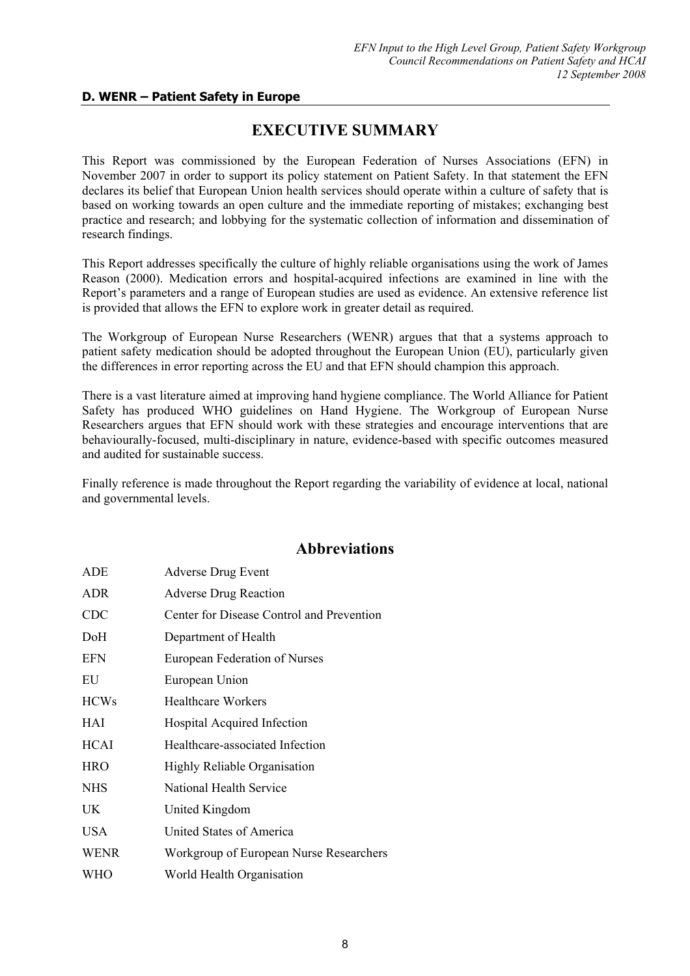### **D. WENR – Patient Safety in Europe**

# **EXECUTIVE SUMMARY**

This Report was commissioned by the European Federation of Nurses Associations (EFN) in November 2007 in order to support its policy statement on Patient Safety. In that statement the EFN declares its belief that European Union health services should operate within a culture of safety that is based on working towards an open culture and the immediate reporting of mistakes; exchanging best practice and research; and lobbying for the systematic collection of information and dissemination of research findings.

This Report addresses specifically the culture of highly reliable organisations using the work of James Reason (2000). Medication errors and hospital-acquired infections are examined in line with the Report's parameters and a range of European studies are used as evidence. An extensive reference list is provided that allows the EFN to explore work in greater detail as required.

The Workgroup of European Nurse Researchers (WENR) argues that that a systems approach to patient safety medication should be adopted throughout the European Union (EU), particularly given the differences in error reporting across the EU and that EFN should champion this approach.

There is a vast literature aimed at improving hand hygiene compliance. The World Alliance for Patient Safety has produced WHO guidelines on Hand Hygiene. The Workgroup of European Nurse Researchers argues that EFN should work with these strategies and encourage interventions that are behaviourally-focused, multi-disciplinary in nature, evidence-based with specific outcomes measured and audited for sustainable success.

Finally reference is made throughout the Report regarding the variability of evidence at local, national and governmental levels.

# **Abbreviations**

| ADE         | <b>Adverse Drug Event</b>                 |  |
|-------------|-------------------------------------------|--|
| <b>ADR</b>  | <b>Adverse Drug Reaction</b>              |  |
| <b>CDC</b>  | Center for Disease Control and Prevention |  |
| DoH         | Department of Health                      |  |
| <b>EFN</b>  | European Federation of Nurses             |  |
| EU          | European Union                            |  |
| <b>HCWs</b> | <b>Healthcare Workers</b>                 |  |
| HAI         | Hospital Acquired Infection               |  |
| <b>HCAI</b> | Healthcare-associated Infection           |  |
| <b>HRO</b>  | Highly Reliable Organisation              |  |
| <b>NHS</b>  | National Health Service                   |  |
| UK          | United Kingdom                            |  |
| <b>USA</b>  | United States of America                  |  |
| <b>WENR</b> | Workgroup of European Nurse Researchers   |  |
| <b>WHO</b>  | World Health Organisation                 |  |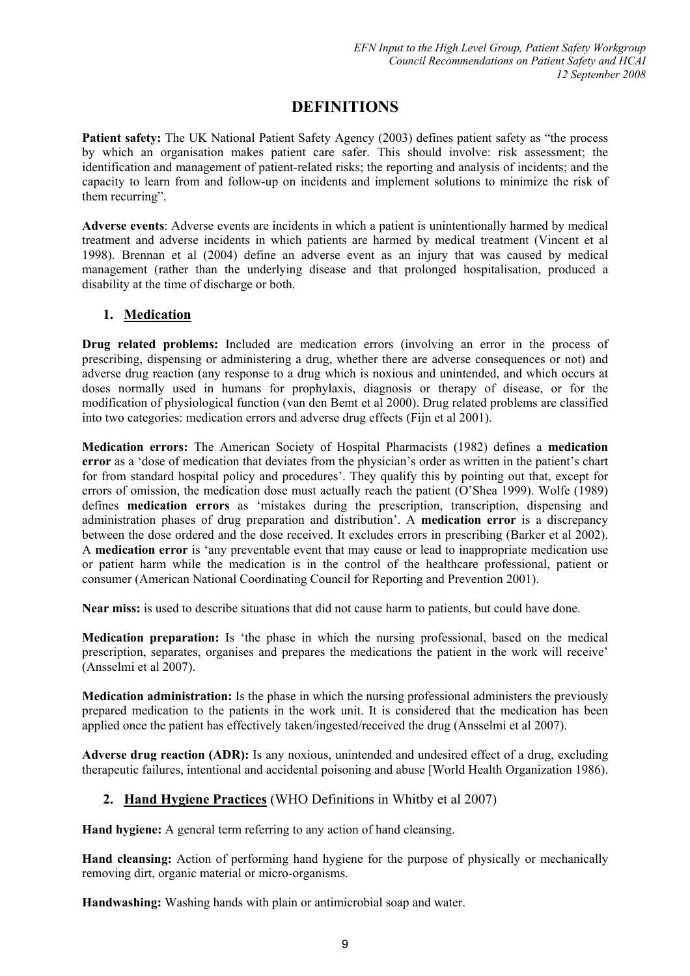# **DEFINITIONS**

Patient safety: The UK National Patient Safety Agency (2003) defines patient safety as "the process by which an organisation makes patient care safer. This should involve: risk assessment; the identification and management of patient-related risks; the reporting and analysis of incidents; and the capacity to learn from and follow-up on incidents and implement solutions to minimize the risk of them recurring".

**Adverse events**: Adverse events are incidents in which a patient is unintentionally harmed by medical treatment and adverse incidents in which patients are harmed by medical treatment (Vincent et al 1998). Brennan et al (2004) define an adverse event as an injury that was caused by medical management (rather than the underlying disease and that prolonged hospitalisation, produced a disability at the time of discharge or both.

## **1. Medication**

**Drug related problems:** Included are medication errors (involving an error in the process of prescribing, dispensing or administering a drug, whether there are adverse consequences or not) and adverse drug reaction (any response to a drug which is noxious and unintended, and which occurs at doses normally used in humans for prophylaxis, diagnosis or therapy of disease, or for the modification of physiological function (van den Bemt et al 2000). Drug related problems are classified into two categories: medication errors and adverse drug effects (Fijn et al 2001).

**Medication errors:** The American Society of Hospital Pharmacists (1982) defines a **medication error** as a 'dose of medication that deviates from the physician's order as written in the patient's chart for from standard hospital policy and procedures'. They qualify this by pointing out that, except for errors of omission, the medication dose must actually reach the patient (O'Shea 1999). Wolfe (1989) defines **medication errors** as 'mistakes during the prescription, transcription, dispensing and administration phases of drug preparation and distribution'. A **medication error** is a discrepancy between the dose ordered and the dose received. It excludes errors in prescribing (Barker et al 2002). A **medication error** is 'any preventable event that may cause or lead to inappropriate medication use or patient harm while the medication is in the control of the healthcare professional, patient or consumer (American National Coordinating Council for Reporting and Prevention 2001).

**Near miss:** is used to describe situations that did not cause harm to patients, but could have done.

**Medication preparation:** Is 'the phase in which the nursing professional, based on the medical prescription, separates, organises and prepares the medications the patient in the work will receive' (Ansselmi et al 2007).

**Medication administration:** Is the phase in which the nursing professional administers the previously prepared medication to the patients in the work unit. It is considered that the medication has been applied once the patient has effectively taken/ingested/received the drug (Ansselmi et al 2007).

**Adverse drug reaction (ADR):** Is any noxious, unintended and undesired effect of a drug, excluding therapeutic failures, intentional and accidental poisoning and abuse [World Health Organization 1986).

## **2. Hand Hygiene Practices** (WHO Definitions in Whitby et al 2007)

**Hand hygiene:** A general term referring to any action of hand cleansing.

**Hand cleansing:** Action of performing hand hygiene for the purpose of physically or mechanically removing dirt, organic material or micro-organisms.

**Handwashing:** Washing hands with plain or antimicrobial soap and water.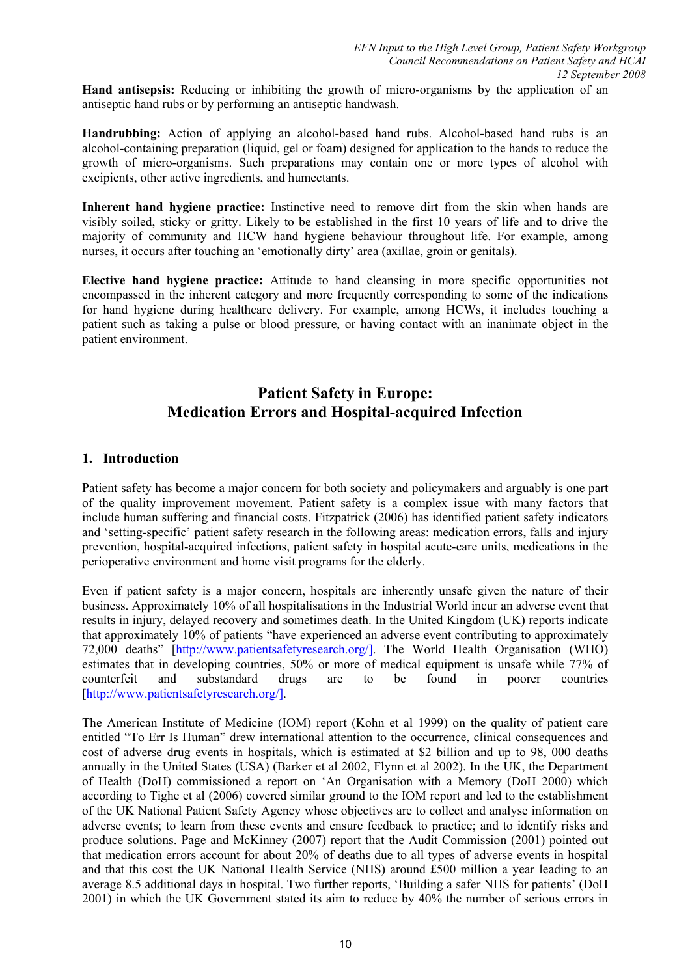**Hand antisepsis:** Reducing or inhibiting the growth of micro-organisms by the application of an antiseptic hand rubs or by performing an antiseptic handwash.

**Handrubbing:** Action of applying an alcohol-based hand rubs. Alcohol-based hand rubs is an alcohol-containing preparation (liquid, gel or foam) designed for application to the hands to reduce the growth of micro-organisms. Such preparations may contain one or more types of alcohol with excipients, other active ingredients, and humectants.

**Inherent hand hygiene practice:** Instinctive need to remove dirt from the skin when hands are visibly soiled, sticky or gritty. Likely to be established in the first 10 years of life and to drive the majority of community and HCW hand hygiene behaviour throughout life. For example, among nurses, it occurs after touching an 'emotionally dirty' area (axillae, groin or genitals).

**Elective hand hygiene practice:** Attitude to hand cleansing in more specific opportunities not encompassed in the inherent category and more frequently corresponding to some of the indications for hand hygiene during healthcare delivery. For example, among HCWs, it includes touching a patient such as taking a pulse or blood pressure, or having contact with an inanimate object in the patient environment.

# **Patient Safety in Europe: Medication Errors and Hospital-acquired Infection**

### **1. Introduction**

Patient safety has become a major concern for both society and policymakers and arguably is one part of the quality improvement movement. Patient safety is a complex issue with many factors that include human suffering and financial costs. Fitzpatrick (2006) has identified patient safety indicators and 'setting-specific' patient safety research in the following areas: medication errors, falls and injury prevention, hospital-acquired infections, patient safety in hospital acute-care units, medications in the perioperative environment and home visit programs for the elderly.

Even if patient safety is a major concern, hospitals are inherently unsafe given the nature of their business. Approximately 10% of all hospitalisations in the Industrial World incur an adverse event that results in injury, delayed recovery and sometimes death. In the United Kingdom (UK) reports indicate that approximately 10% of patients "have experienced an adverse event contributing to approximately 72,000 deaths" [http://www.patientsafetyresearch.org/]. The World Health Organisation (WHO) estimates that in developing countries, 50% or more of medical equipment is unsafe while 77% of counterfeit and substandard drugs are to be found in poorer countries [http://www.patientsafetyresearch.org/].

The American Institute of Medicine (IOM) report (Kohn et al 1999) on the quality of patient care entitled "To Err Is Human" drew international attention to the occurrence, clinical consequences and cost of adverse drug events in hospitals, which is estimated at \$2 billion and up to 98, 000 deaths annually in the United States (USA) (Barker et al 2002, Flynn et al 2002). In the UK, the Department of Health (DoH) commissioned a report on 'An Organisation with a Memory (DoH 2000) which according to Tighe et al (2006) covered similar ground to the IOM report and led to the establishment of the UK National Patient Safety Agency whose objectives are to collect and analyse information on adverse events; to learn from these events and ensure feedback to practice; and to identify risks and produce solutions. Page and McKinney (2007) report that the Audit Commission (2001) pointed out that medication errors account for about 20% of deaths due to all types of adverse events in hospital and that this cost the UK National Health Service (NHS) around £500 million a year leading to an average 8.5 additional days in hospital. Two further reports, 'Building a safer NHS for patients' (DoH 2001) in which the UK Government stated its aim to reduce by 40% the number of serious errors in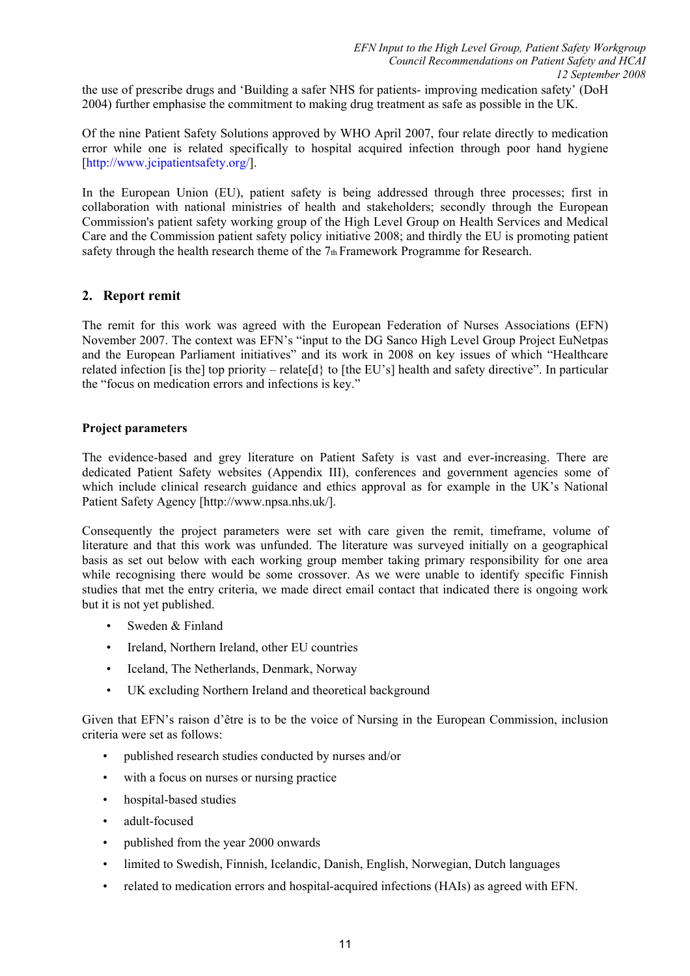the use of prescribe drugs and 'Building a safer NHS for patients- improving medication safety' (DoH 2004) further emphasise the commitment to making drug treatment as safe as possible in the UK.

Of the nine Patient Safety Solutions approved by WHO April 2007, four relate directly to medication error while one is related specifically to hospital acquired infection through poor hand hygiene [http://www.jcipatientsafety.org/].

In the European Union (EU), patient safety is being addressed through three processes; first in collaboration with national ministries of health and stakeholders; secondly through the European Commission's patient safety working group of the High Level Group on Health Services and Medical Care and the Commission patient safety policy initiative 2008; and thirdly the EU is promoting patient safety through the health research theme of the 7th Framework Programme for Research.

### **2. Report remit**

The remit for this work was agreed with the European Federation of Nurses Associations (EFN) November 2007. The context was EFN's "input to the DG Sanco High Level Group Project EuNetpas and the European Parliament initiatives" and its work in 2008 on key issues of which "Healthcare related infection [is the] top priority – relate[d} to [the EU's] health and safety directive". In particular the "focus on medication errors and infections is key."

### **Project parameters**

The evidence-based and grey literature on Patient Safety is vast and ever-increasing. There are dedicated Patient Safety websites (Appendix III), conferences and government agencies some of which include clinical research guidance and ethics approval as for example in the UK's National Patient Safety Agency [http://www.npsa.nhs.uk/].

Consequently the project parameters were set with care given the remit, timeframe, volume of literature and that this work was unfunded. The literature was surveyed initially on a geographical basis as set out below with each working group member taking primary responsibility for one area while recognising there would be some crossover. As we were unable to identify specific Finnish studies that met the entry criteria, we made direct email contact that indicated there is ongoing work but it is not yet published.

- Sweden & Finland
- Ireland, Northern Ireland, other EU countries
- Iceland, The Netherlands, Denmark, Norway
- UK excluding Northern Ireland and theoretical background

Given that EFN's raison d'être is to be the voice of Nursing in the European Commission, inclusion criteria were set as follows:

- published research studies conducted by nurses and/or
- with a focus on nurses or nursing practice
- hospital-based studies
- adult-focused
- published from the year 2000 onwards
- limited to Swedish, Finnish, Icelandic, Danish, English, Norwegian, Dutch languages
- related to medication errors and hospital-acquired infections (HAIs) as agreed with EFN.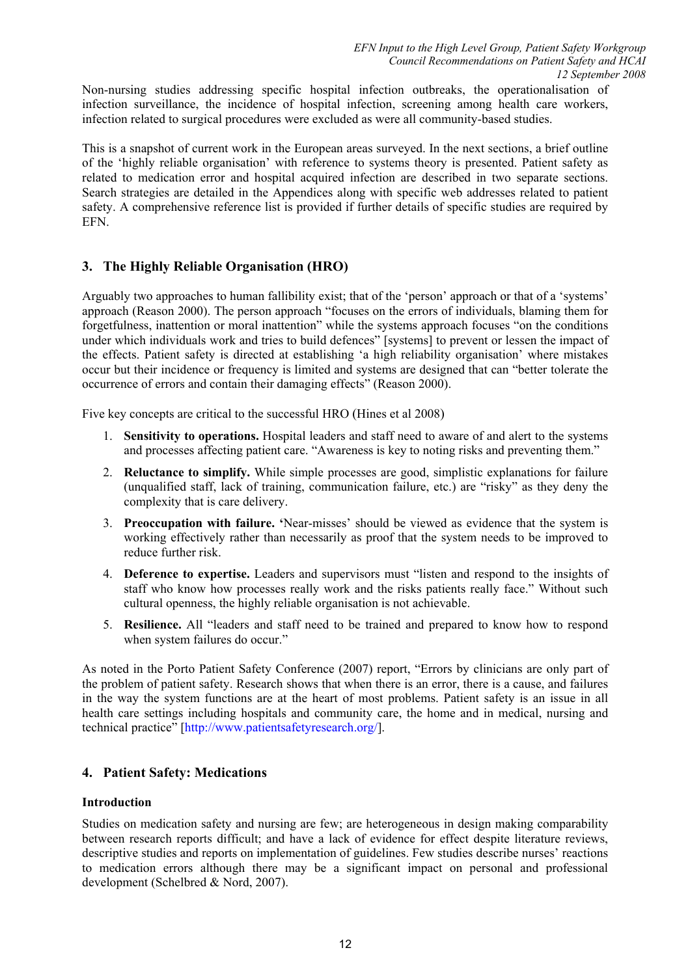Non-nursing studies addressing specific hospital infection outbreaks, the operationalisation of infection surveillance, the incidence of hospital infection, screening among health care workers, infection related to surgical procedures were excluded as were all community-based studies.

This is a snapshot of current work in the European areas surveyed. In the next sections, a brief outline of the 'highly reliable organisation' with reference to systems theory is presented. Patient safety as related to medication error and hospital acquired infection are described in two separate sections. Search strategies are detailed in the Appendices along with specific web addresses related to patient safety. A comprehensive reference list is provided if further details of specific studies are required by EFN.

## **3. The Highly Reliable Organisation (HRO)**

Arguably two approaches to human fallibility exist; that of the 'person' approach or that of a 'systems' approach (Reason 2000). The person approach "focuses on the errors of individuals, blaming them for forgetfulness, inattention or moral inattention" while the systems approach focuses "on the conditions under which individuals work and tries to build defences" [systems] to prevent or lessen the impact of the effects. Patient safety is directed at establishing 'a high reliability organisation' where mistakes occur but their incidence or frequency is limited and systems are designed that can "better tolerate the occurrence of errors and contain their damaging effects" (Reason 2000).

Five key concepts are critical to the successful HRO (Hines et al 2008)

- 1. **Sensitivity to operations.** Hospital leaders and staff need to aware of and alert to the systems and processes affecting patient care. "Awareness is key to noting risks and preventing them."
- 2. **Reluctance to simplify.** While simple processes are good, simplistic explanations for failure (unqualified staff, lack of training, communication failure, etc.) are "risky" as they deny the complexity that is care delivery.
- 3. **Preoccupation with failure. '**Near-misses' should be viewed as evidence that the system is working effectively rather than necessarily as proof that the system needs to be improved to reduce further risk.
- 4. **Deference to expertise.** Leaders and supervisors must "listen and respond to the insights of staff who know how processes really work and the risks patients really face." Without such cultural openness, the highly reliable organisation is not achievable.
- 5. **Resilience.** All "leaders and staff need to be trained and prepared to know how to respond when system failures do occur."

As noted in the Porto Patient Safety Conference (2007) report, "Errors by clinicians are only part of the problem of patient safety. Research shows that when there is an error, there is a cause, and failures in the way the system functions are at the heart of most problems. Patient safety is an issue in all health care settings including hospitals and community care, the home and in medical, nursing and technical practice" [http://www.patientsafetyresearch.org/].

### **4. Patient Safety: Medications**

#### **Introduction**

Studies on medication safety and nursing are few; are heterogeneous in design making comparability between research reports difficult; and have a lack of evidence for effect despite literature reviews, descriptive studies and reports on implementation of guidelines. Few studies describe nurses' reactions to medication errors although there may be a significant impact on personal and professional development (Schelbred & Nord, 2007).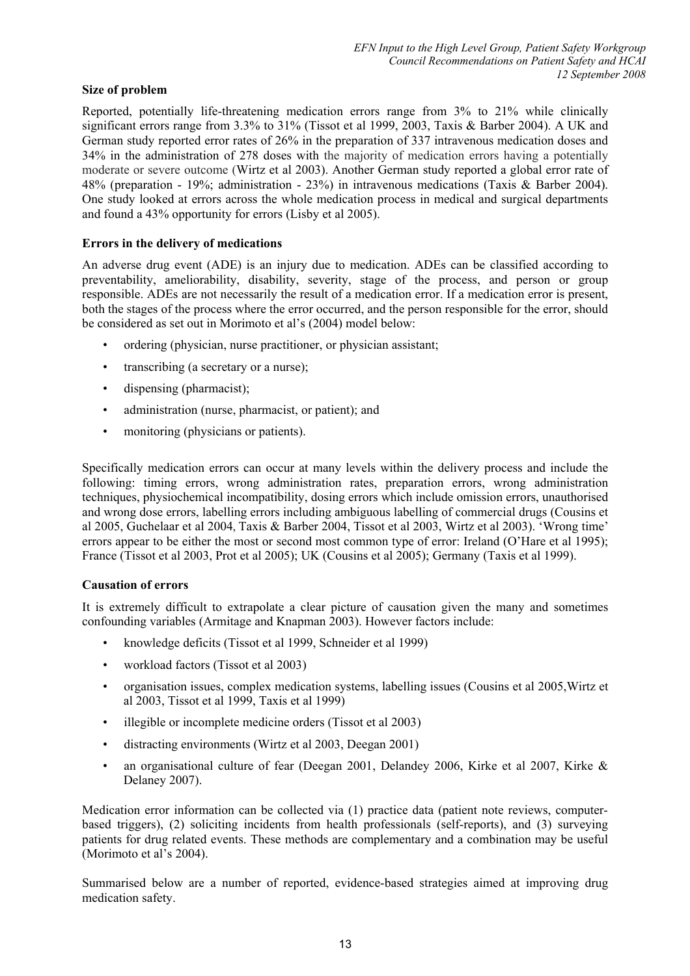### **Size of problem**

Reported, potentially life-threatening medication errors range from 3% to 21% while clinically significant errors range from 3.3% to 31% (Tissot et al 1999, 2003, Taxis & Barber 2004). A UK and German study reported error rates of 26% in the preparation of 337 intravenous medication doses and 34% in the administration of 278 doses with the majority of medication errors having a potentially moderate or severe outcome (Wirtz et al 2003). Another German study reported a global error rate of 48% (preparation - 19%; administration - 23%) in intravenous medications (Taxis & Barber 2004). One study looked at errors across the whole medication process in medical and surgical departments and found a 43% opportunity for errors (Lisby et al 2005).

### **Errors in the delivery of medications**

An adverse drug event (ADE) is an injury due to medication. ADEs can be classified according to preventability, ameliorability, disability, severity, stage of the process, and person or group responsible. ADEs are not necessarily the result of a medication error. If a medication error is present, both the stages of the process where the error occurred, and the person responsible for the error, should be considered as set out in Morimoto et al's (2004) model below:

- ordering (physician, nurse practitioner, or physician assistant;
- transcribing (a secretary or a nurse);
- dispensing (pharmacist);
- administration (nurse, pharmacist, or patient); and
- monitoring (physicians or patients).

Specifically medication errors can occur at many levels within the delivery process and include the following: timing errors, wrong administration rates, preparation errors, wrong administration techniques, physiochemical incompatibility, dosing errors which include omission errors, unauthorised and wrong dose errors, labelling errors including ambiguous labelling of commercial drugs (Cousins et al 2005, Guchelaar et al 2004, Taxis & Barber 2004, Tissot et al 2003, Wirtz et al 2003). 'Wrong time' errors appear to be either the most or second most common type of error: Ireland (O'Hare et al 1995); France (Tissot et al 2003, Prot et al 2005); UK (Cousins et al 2005); Germany (Taxis et al 1999).

#### **Causation of errors**

It is extremely difficult to extrapolate a clear picture of causation given the many and sometimes confounding variables (Armitage and Knapman 2003). However factors include:

- knowledge deficits (Tissot et al 1999, Schneider et al 1999)
- workload factors (Tissot et al 2003)
- organisation issues, complex medication systems, labelling issues (Cousins et al 2005,Wirtz et al 2003, Tissot et al 1999, Taxis et al 1999)
- illegible or incomplete medicine orders (Tissot et al 2003)
- distracting environments (Wirtz et al 2003, Deegan 2001)
- an organisational culture of fear (Deegan 2001, Delandey 2006, Kirke et al 2007, Kirke & Delaney 2007).

Medication error information can be collected via (1) practice data (patient note reviews, computerbased triggers), (2) soliciting incidents from health professionals (self-reports), and (3) surveying patients for drug related events. These methods are complementary and a combination may be useful (Morimoto et al's 2004).

Summarised below are a number of reported, evidence-based strategies aimed at improving drug medication safety.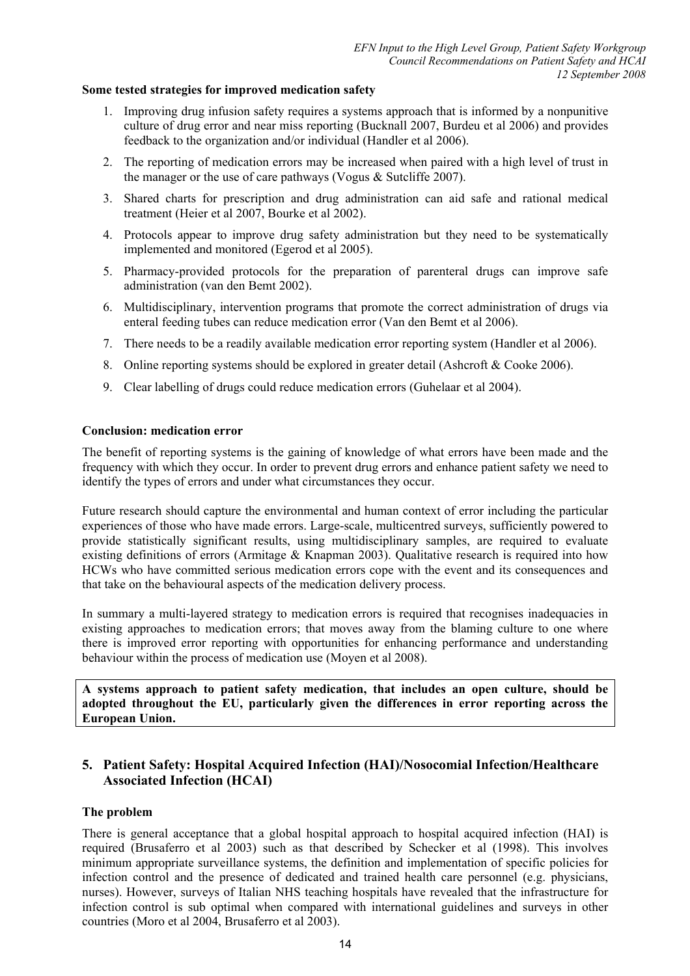#### **Some tested strategies for improved medication safety**

- 1. Improving drug infusion safety requires a systems approach that is informed by a nonpunitive culture of drug error and near miss reporting (Bucknall 2007, Burdeu et al 2006) and provides feedback to the organization and/or individual (Handler et al 2006).
- 2. The reporting of medication errors may be increased when paired with a high level of trust in the manager or the use of care pathways (Vogus & Sutcliffe 2007).
- 3. Shared charts for prescription and drug administration can aid safe and rational medical treatment (Heier et al 2007, Bourke et al 2002).
- 4. Protocols appear to improve drug safety administration but they need to be systematically implemented and monitored (Egerod et al 2005).
- 5. Pharmacy-provided protocols for the preparation of parenteral drugs can improve safe administration (van den Bemt 2002).
- 6. Multidisciplinary, intervention programs that promote the correct administration of drugs via enteral feeding tubes can reduce medication error (Van den Bemt et al 2006).
- 7. There needs to be a readily available medication error reporting system (Handler et al 2006).
- 8. Online reporting systems should be explored in greater detail (Ashcroft & Cooke 2006).
- 9. Clear labelling of drugs could reduce medication errors (Guhelaar et al 2004).

#### **Conclusion: medication error**

The benefit of reporting systems is the gaining of knowledge of what errors have been made and the frequency with which they occur. In order to prevent drug errors and enhance patient safety we need to identify the types of errors and under what circumstances they occur.

Future research should capture the environmental and human context of error including the particular experiences of those who have made errors. Large-scale, multicentred surveys, sufficiently powered to provide statistically significant results, using multidisciplinary samples, are required to evaluate existing definitions of errors (Armitage & Knapman 2003). Qualitative research is required into how HCWs who have committed serious medication errors cope with the event and its consequences and that take on the behavioural aspects of the medication delivery process.

In summary a multi-layered strategy to medication errors is required that recognises inadequacies in existing approaches to medication errors; that moves away from the blaming culture to one where there is improved error reporting with opportunities for enhancing performance and understanding behaviour within the process of medication use (Moyen et al 2008).

**A systems approach to patient safety medication, that includes an open culture, should be adopted throughout the EU, particularly given the differences in error reporting across the European Union.** 

### **5. Patient Safety: Hospital Acquired Infection (HAI)/Nosocomial Infection/Healthcare Associated Infection (HCAI)**

#### **The problem**

There is general acceptance that a global hospital approach to hospital acquired infection (HAI) is required (Brusaferro et al 2003) such as that described by Schecker et al (1998). This involves minimum appropriate surveillance systems, the definition and implementation of specific policies for infection control and the presence of dedicated and trained health care personnel (e.g. physicians, nurses). However, surveys of Italian NHS teaching hospitals have revealed that the infrastructure for infection control is sub optimal when compared with international guidelines and surveys in other countries (Moro et al 2004, Brusaferro et al 2003).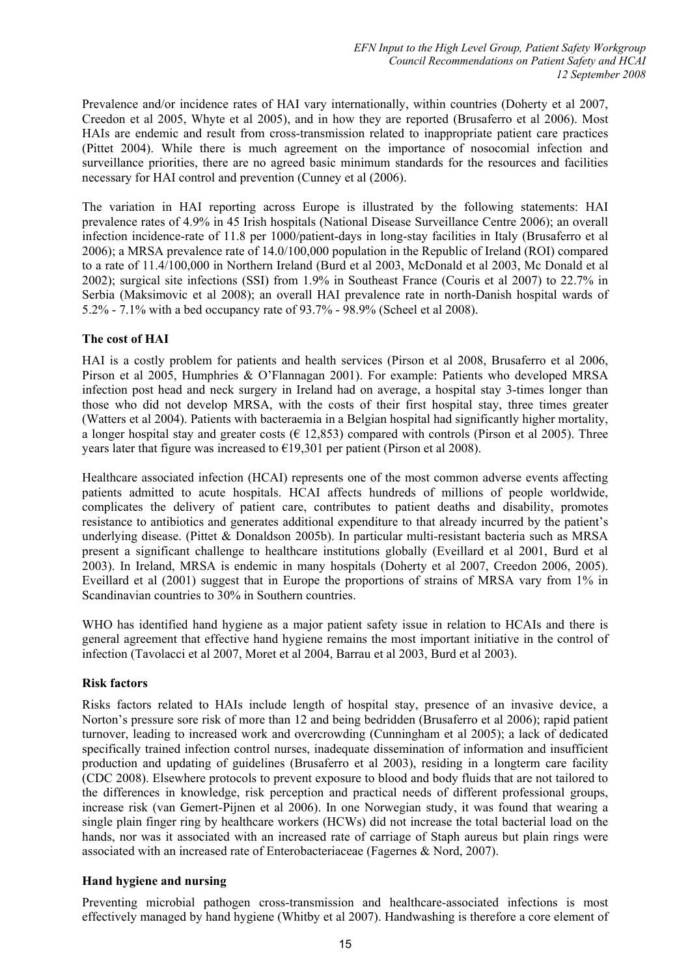Prevalence and/or incidence rates of HAI vary internationally, within countries (Doherty et al 2007, Creedon et al 2005, Whyte et al 2005), and in how they are reported (Brusaferro et al 2006). Most HAIs are endemic and result from cross-transmission related to inappropriate patient care practices (Pittet 2004). While there is much agreement on the importance of nosocomial infection and surveillance priorities, there are no agreed basic minimum standards for the resources and facilities necessary for HAI control and prevention (Cunney et al (2006).

The variation in HAI reporting across Europe is illustrated by the following statements: HAI prevalence rates of 4.9% in 45 Irish hospitals (National Disease Surveillance Centre 2006); an overall infection incidence-rate of 11.8 per 1000/patient-days in long-stay facilities in Italy (Brusaferro et al 2006); a MRSA prevalence rate of 14.0/100,000 population in the Republic of Ireland (ROI) compared to a rate of 11.4/100,000 in Northern Ireland (Burd et al 2003, McDonald et al 2003, Mc Donald et al 2002); surgical site infections (SSI) from 1.9% in Southeast France (Couris et al 2007) to 22.7% in Serbia (Maksimovic et al 2008); an overall HAI prevalence rate in north-Danish hospital wards of 5.2% - 7.1% with a bed occupancy rate of 93.7% - 98.9% (Scheel et al 2008).

### **The cost of HAI**

HAI is a costly problem for patients and health services (Pirson et al 2008, Brusaferro et al 2006, Pirson et al 2005, Humphries & O'Flannagan 2001). For example: Patients who developed MRSA infection post head and neck surgery in Ireland had on average, a hospital stay 3-times longer than those who did not develop MRSA, with the costs of their first hospital stay, three times greater (Watters et al 2004). Patients with bacteraemia in a Belgian hospital had significantly higher mortality, a longer hospital stay and greater costs ( $\epsilon$  12,853) compared with controls (Pirson et al 2005). Three years later that figure was increased to  $\epsilon$ 19,301 per patient (Pirson et al 2008).

Healthcare associated infection (HCAI) represents one of the most common adverse events affecting patients admitted to acute hospitals. HCAI affects hundreds of millions of people worldwide, complicates the delivery of patient care, contributes to patient deaths and disability, promotes resistance to antibiotics and generates additional expenditure to that already incurred by the patient's underlying disease. (Pittet & Donaldson 2005b). In particular multi-resistant bacteria such as MRSA present a significant challenge to healthcare institutions globally (Eveillard et al 2001, Burd et al 2003). In Ireland, MRSA is endemic in many hospitals (Doherty et al 2007, Creedon 2006, 2005). Eveillard et al (2001) suggest that in Europe the proportions of strains of MRSA vary from 1% in Scandinavian countries to 30% in Southern countries.

WHO has identified hand hygiene as a major patient safety issue in relation to HCAIs and there is general agreement that effective hand hygiene remains the most important initiative in the control of infection (Tavolacci et al 2007, Moret et al 2004, Barrau et al 2003, Burd et al 2003).

#### **Risk factors**

Risks factors related to HAIs include length of hospital stay, presence of an invasive device, a Norton's pressure sore risk of more than 12 and being bedridden (Brusaferro et al 2006); rapid patient turnover, leading to increased work and overcrowding (Cunningham et al 2005); a lack of dedicated specifically trained infection control nurses, inadequate dissemination of information and insufficient production and updating of guidelines (Brusaferro et al 2003), residing in a longterm care facility (CDC 2008). Elsewhere protocols to prevent exposure to blood and body fluids that are not tailored to the differences in knowledge, risk perception and practical needs of different professional groups, increase risk (van Gemert-Pijnen et al 2006). In one Norwegian study, it was found that wearing a single plain finger ring by healthcare workers (HCWs) did not increase the total bacterial load on the hands, nor was it associated with an increased rate of carriage of Staph aureus but plain rings were associated with an increased rate of Enterobacteriaceae (Fagernes & Nord, 2007).

### **Hand hygiene and nursing**

Preventing microbial pathogen cross-transmission and healthcare-associated infections is most effectively managed by hand hygiene (Whitby et al 2007). Handwashing is therefore a core element of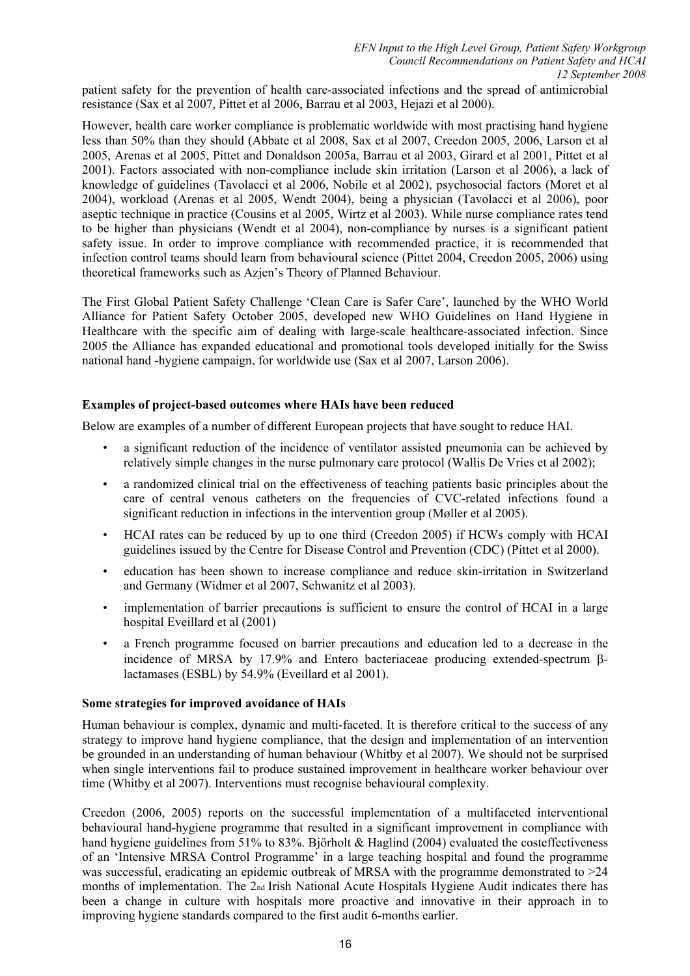patient safety for the prevention of health care-associated infections and the spread of antimicrobial resistance (Sax et al 2007, Pittet et al 2006, Barrau et al 2003, Hejazi et al 2000).

However, health care worker compliance is problematic worldwide with most practising hand hygiene less than 50% than they should (Abbate et al 2008, Sax et al 2007, Creedon 2005, 2006, Larson et al 2005, Arenas et al 2005, Pittet and Donaldson 2005a, Barrau et al 2003, Girard et al 2001, Pittet et al 2001). Factors associated with non-compliance include skin irritation (Larson et al 2006), a lack of knowledge of guidelines (Tavolacci et al 2006, Nobile et al 2002), psychosocial factors (Moret et al 2004), workload (Arenas et al 2005, Wendt 2004), being a physician (Tavolacci et al 2006), poor aseptic technique in practice (Cousins et al 2005, Wirtz et al 2003). While nurse compliance rates tend to be higher than physicians (Wendt et al 2004), non-compliance by nurses is a significant patient safety issue. In order to improve compliance with recommended practice, it is recommended that infection control teams should learn from behavioural science (Pittet 2004, Creedon 2005, 2006) using theoretical frameworks such as Azjen's Theory of Planned Behaviour.

The First Global Patient Safety Challenge 'Clean Care is Safer Care', launched by the WHO World Alliance for Patient Safety October 2005, developed new WHO Guidelines on Hand Hygiene in Healthcare with the specific aim of dealing with large-scale healthcare-associated infection. Since 2005 the Alliance has expanded educational and promotional tools developed initially for the Swiss national hand -hygiene campaign, for worldwide use (Sax et al 2007, Larson 2006).

#### **Examples of project-based outcomes where HAIs have been reduced**

Below are examples of a number of different European projects that have sought to reduce HAI.

- a significant reduction of the incidence of ventilator assisted pneumonia can be achieved by relatively simple changes in the nurse pulmonary care protocol (Wallis De Vries et al 2002);
- a randomized clinical trial on the effectiveness of teaching patients basic principles about the care of central venous catheters on the frequencies of CVC-related infections found a significant reduction in infections in the intervention group (Møller et al 2005).
- HCAI rates can be reduced by up to one third (Creedon 2005) if HCWs comply with HCAI guidelines issued by the Centre for Disease Control and Prevention (CDC) (Pittet et al 2000).
- education has been shown to increase compliance and reduce skin-irritation in Switzerland and Germany (Widmer et al 2007, Schwanitz et al 2003).
- implementation of barrier precautions is sufficient to ensure the control of HCAI in a large hospital Eveillard et al (2001)
- a French programme focused on barrier precautions and education led to a decrease in the incidence of MRSA by 17.9% and Entero bacteriaceae producing extended-spectrum βlactamases (ESBL) by 54.9% (Eveillard et al 2001).

#### **Some strategies for improved avoidance of HAIs**

Human behaviour is complex, dynamic and multi-faceted. It is therefore critical to the success of any strategy to improve hand hygiene compliance, that the design and implementation of an intervention be grounded in an understanding of human behaviour (Whitby et al 2007). We should not be surprised when single interventions fail to produce sustained improvement in healthcare worker behaviour over time (Whitby et al 2007). Interventions must recognise behavioural complexity.

Creedon (2006, 2005) reports on the successful implementation of a multifaceted interventional behavioural hand-hygiene programme that resulted in a significant improvement in compliance with hand hygiene guidelines from 51% to 83%. Björholt & Haglind (2004) evaluated the costeffectiveness of an 'Intensive MRSA Control Programme' in a large teaching hospital and found the programme was successful, eradicating an epidemic outbreak of MRSA with the programme demonstrated to  $>24$ months of implementation. The 2<sub>nd</sub> Irish National Acute Hospitals Hygiene Audit indicates there has been a change in culture with hospitals more proactive and innovative in their approach in to improving hygiene standards compared to the first audit 6-months earlier.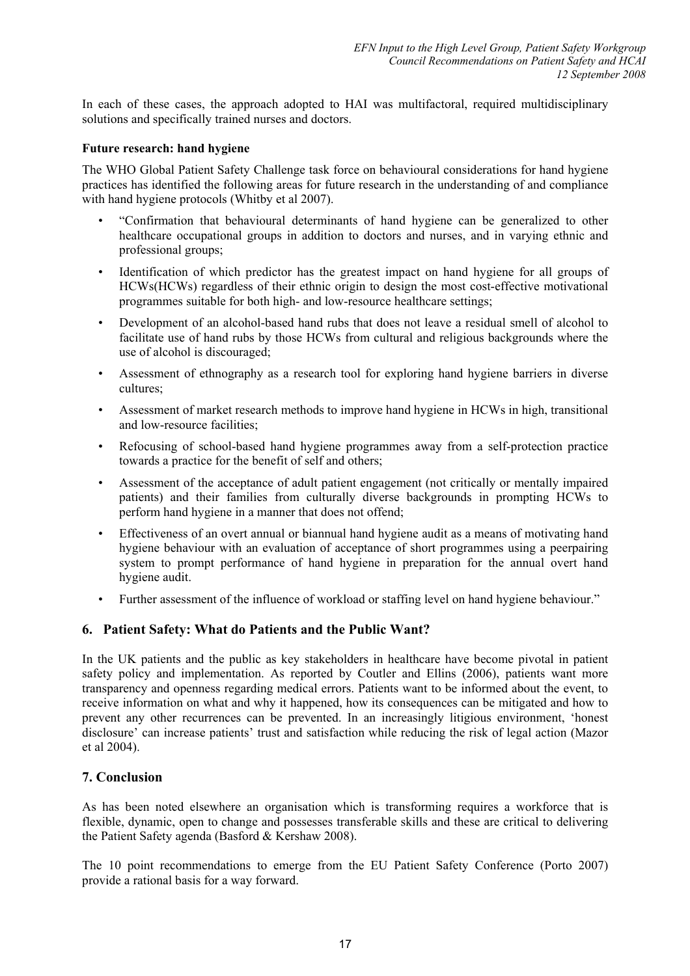In each of these cases, the approach adopted to HAI was multifactoral, required multidisciplinary solutions and specifically trained nurses and doctors.

#### **Future research: hand hygiene**

The WHO Global Patient Safety Challenge task force on behavioural considerations for hand hygiene practices has identified the following areas for future research in the understanding of and compliance with hand hygiene protocols (Whitby et al 2007).

- "Confirmation that behavioural determinants of hand hygiene can be generalized to other healthcare occupational groups in addition to doctors and nurses, and in varying ethnic and professional groups;
- Identification of which predictor has the greatest impact on hand hygiene for all groups of HCWs(HCWs) regardless of their ethnic origin to design the most cost-effective motivational programmes suitable for both high- and low-resource healthcare settings;
- Development of an alcohol-based hand rubs that does not leave a residual smell of alcohol to facilitate use of hand rubs by those HCWs from cultural and religious backgrounds where the use of alcohol is discouraged;
- Assessment of ethnography as a research tool for exploring hand hygiene barriers in diverse cultures;
- Assessment of market research methods to improve hand hygiene in HCWs in high, transitional and low-resource facilities;
- Refocusing of school-based hand hygiene programmes away from a self-protection practice towards a practice for the benefit of self and others;
- Assessment of the acceptance of adult patient engagement (not critically or mentally impaired patients) and their families from culturally diverse backgrounds in prompting HCWs to perform hand hygiene in a manner that does not offend;
- Effectiveness of an overt annual or biannual hand hygiene audit as a means of motivating hand hygiene behaviour with an evaluation of acceptance of short programmes using a peerpairing system to prompt performance of hand hygiene in preparation for the annual overt hand hygiene audit.
- Further assessment of the influence of workload or staffing level on hand hygiene behaviour."

### **6. Patient Safety: What do Patients and the Public Want?**

In the UK patients and the public as key stakeholders in healthcare have become pivotal in patient safety policy and implementation. As reported by Coutler and Ellins (2006), patients want more transparency and openness regarding medical errors. Patients want to be informed about the event, to receive information on what and why it happened, how its consequences can be mitigated and how to prevent any other recurrences can be prevented. In an increasingly litigious environment, 'honest disclosure' can increase patients' trust and satisfaction while reducing the risk of legal action (Mazor et al 2004).

### **7. Conclusion**

As has been noted elsewhere an organisation which is transforming requires a workforce that is flexible, dynamic, open to change and possesses transferable skills and these are critical to delivering the Patient Safety agenda (Basford & Kershaw 2008).

The 10 point recommendations to emerge from the EU Patient Safety Conference (Porto 2007) provide a rational basis for a way forward.